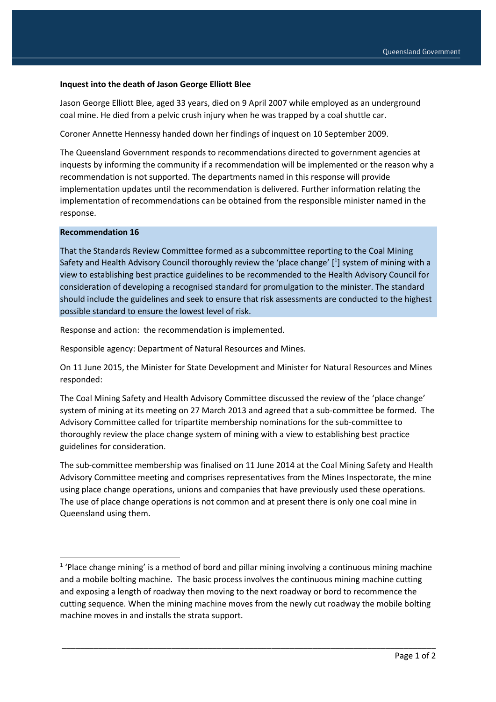#### **Inquest into the death of Jason George Elliott Blee**

Jason George Elliott Blee, aged 33 years, died on 9 April 2007 while employed as an underground coal mine. He died from a pelvic crush injury when he was trapped by a coal shuttle car.

Coroner Annette Hennessy handed down her findings of inquest on 10 September 2009.

The Queensland Government responds to recommendations directed to government agencies at inquests by informing the community if a recommendation will be implemented or the reason why a recommendation is not supported. The departments named in this response will provide implementation updates until the recommendation is delivered. Further information relating the implementation of recommendations can be obtained from the responsible minister named in the response.

### **Recommendation 16**

1

That the Standards Review Committee formed as a subcommittee reporting to the Coal Mining Safety and Health Advisory Council thoroughly review the 'place change' [<sup>1</sup>] system of mining with a view to establishing best practice guidelines to be recommended to the Health Advisory Council for consideration of developing a recognised standard for promulgation to the minister. The standard should include the guidelines and seek to ensure that risk assessments are conducted to the highest possible standard to ensure the lowest level of risk.

Response and action: the recommendation is implemented.

Responsible agency: Department of Natural Resources and Mines.

On 11 June 2015, the Minister for State Development and Minister for Natural Resources and Mines responded:

The Coal Mining Safety and Health Advisory Committee discussed the review of the 'place change' system of mining at its meeting on 27 March 2013 and agreed that a sub-committee be formed. The Advisory Committee called for tripartite membership nominations for the sub-committee to thoroughly review the place change system of mining with a view to establishing best practice guidelines for consideration.

The sub-committee membership was finalised on 11 June 2014 at the Coal Mining Safety and Health Advisory Committee meeting and comprises representatives from the Mines Inspectorate, the mine using place change operations, unions and companies that have previously used these operations. The use of place change operations is not common and at present there is only one coal mine in Queensland using them.

\_\_\_\_\_\_\_\_\_\_\_\_\_\_\_\_\_\_\_\_\_\_\_\_\_\_\_\_\_\_\_\_\_\_\_\_\_\_\_\_\_\_\_\_\_\_\_\_\_\_\_\_\_\_\_\_\_\_\_\_\_\_\_\_\_\_\_\_\_\_\_\_\_\_\_\_\_\_\_\_\_\_

<sup>&</sup>lt;sup>1</sup> 'Place change mining' is a method of bord and pillar mining involving a continuous mining machine and a mobile bolting machine. The basic process involves the continuous mining machine cutting and exposing a length of roadway then moving to the next roadway or bord to recommence the cutting sequence. When the mining machine moves from the newly cut roadway the mobile bolting machine moves in and installs the strata support.